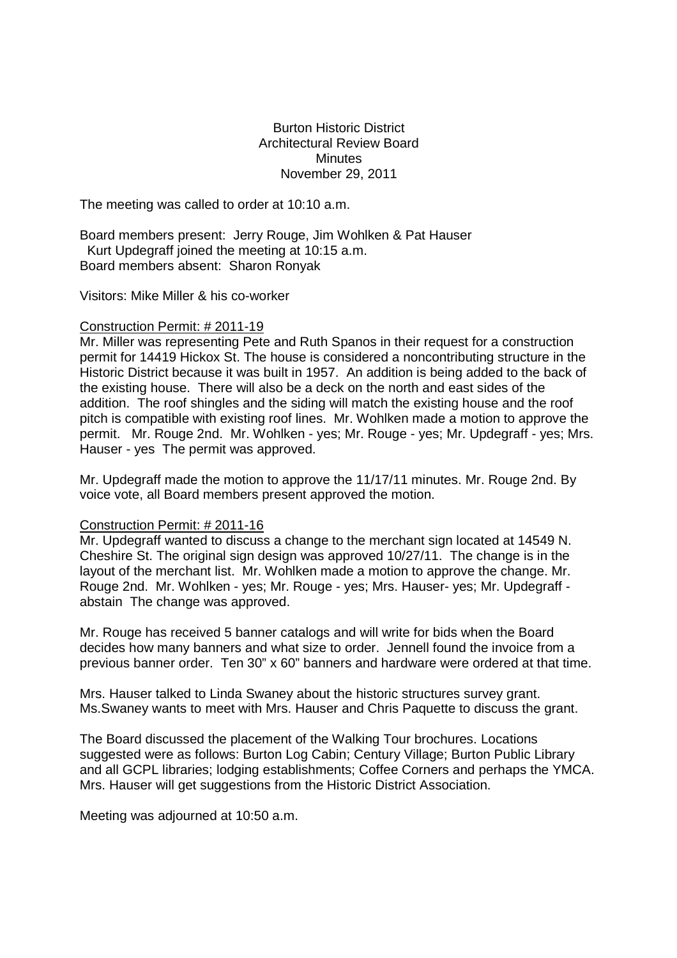Burton Historic District Architectural Review Board Minutes November 29, 2011

The meeting was called to order at 10:10 a.m.

Board members present: Jerry Rouge, Jim Wohlken & Pat Hauser Kurt Updegraff joined the meeting at 10:15 a.m. Board members absent: Sharon Ronyak

Visitors: Mike Miller & his co-worker

## Construction Permit: # 2011-19

Mr. Miller was representing Pete and Ruth Spanos in their request for a construction permit for 14419 Hickox St. The house is considered a noncontributing structure in the Historic District because it was built in 1957. An addition is being added to the back of the existing house. There will also be a deck on the north and east sides of the addition. The roof shingles and the siding will match the existing house and the roof pitch is compatible with existing roof lines. Mr. Wohlken made a motion to approve the permit. Mr. Rouge 2nd. Mr. Wohlken - yes; Mr. Rouge - yes; Mr. Updegraff - yes; Mrs. Hauser - yes The permit was approved.

Mr. Updegraff made the motion to approve the 11/17/11 minutes. Mr. Rouge 2nd. By voice vote, all Board members present approved the motion.

## Construction Permit: # 2011-16

Mr. Updegraff wanted to discuss a change to the merchant sign located at 14549 N. Cheshire St. The original sign design was approved 10/27/11. The change is in the layout of the merchant list. Mr. Wohlken made a motion to approve the change. Mr. Rouge 2nd. Mr. Wohlken - yes; Mr. Rouge - yes; Mrs. Hauser- yes; Mr. Updegraff abstain The change was approved.

Mr. Rouge has received 5 banner catalogs and will write for bids when the Board decides how many banners and what size to order. Jennell found the invoice from a previous banner order. Ten 30" x 60" banners and hardware were ordered at that time.

Mrs. Hauser talked to Linda Swaney about the historic structures survey grant. Ms.Swaney wants to meet with Mrs. Hauser and Chris Paquette to discuss the grant.

The Board discussed the placement of the Walking Tour brochures. Locations suggested were as follows: Burton Log Cabin; Century Village; Burton Public Library and all GCPL libraries; lodging establishments; Coffee Corners and perhaps the YMCA. Mrs. Hauser will get suggestions from the Historic District Association.

Meeting was adjourned at 10:50 a.m.